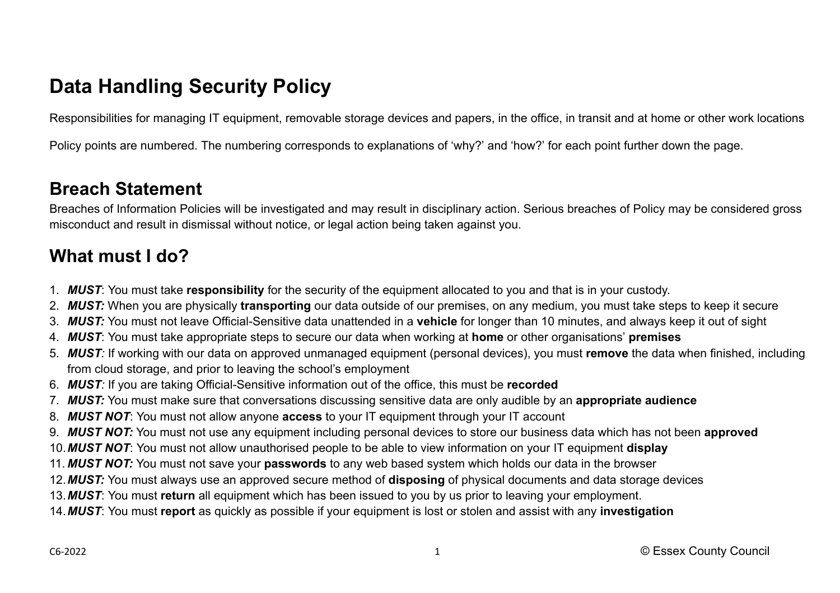# **Data Handling Security Policy**

Responsibilities for managing IT equipment, removable storage devices and papers, in the office, in transit and at home or other work locations

Policy points are numbered. The numbering corresponds to explanations of 'why?' and 'how?' for each point further down the page.

### **Breach Statement**

Breaches of Information Policies will be investigated and may result in disciplinary action. Serious breaches of Policy may be considered gross misconduct and result in dismissal without notice, or legal action being taken against you.

## **What must I do?**

- 1. *MUST*: You must take **responsibility** for the security of the equipment allocated to you and that is in your custody.
- 2. *MUST:* When you are physically **transporting** our data outside of our premises, on any medium, you must take steps to keep it secure
- 3. *MUST:* You must not leave Official-Sensitive data unattended in a **vehicle** for longer than 10 minutes, and always keep it out of sight
- 4. *MUST*: You must take appropriate steps to secure our data when working at **home** or other organisations' **premises**
- 5. *MUST:* If working with our data on approved unmanaged equipment (personal devices), you must **remove** the data when finished, including from cloud storage, and prior to leaving the school's employment
- 6. *MUST:* If you are taking Official-Sensitive information out of the office, this must be **recorded**
- 7. *MUST:* You must make sure that conversations discussing sensitive data are only audible by an **appropriate audience**
- 8. *MUST NOT*: You must not allow anyone **access** to your IT equipment through your IT account
- 9. *MUST NOT:* You must not use any equipment including personal devices to store our business data which has not been **approved**
- 10.*MUST NOT*: You must not allow unauthorised people to be able to view information on your IT equipment **display**
- 11. *MUST NOT:* You must not save your **passwords** to any web based system which holds our data in the browser
- 12.*MUST:* You must always use an approved secure method of **disposing** of physical documents and data storage devices
- 13.*MUST*: You must **return** all equipment which has been issued to you by us prior to leaving your employment.
- 14.*MUST*: You must **report** as quickly as possible if your equipment is lost or stolen and assist with any **investigation**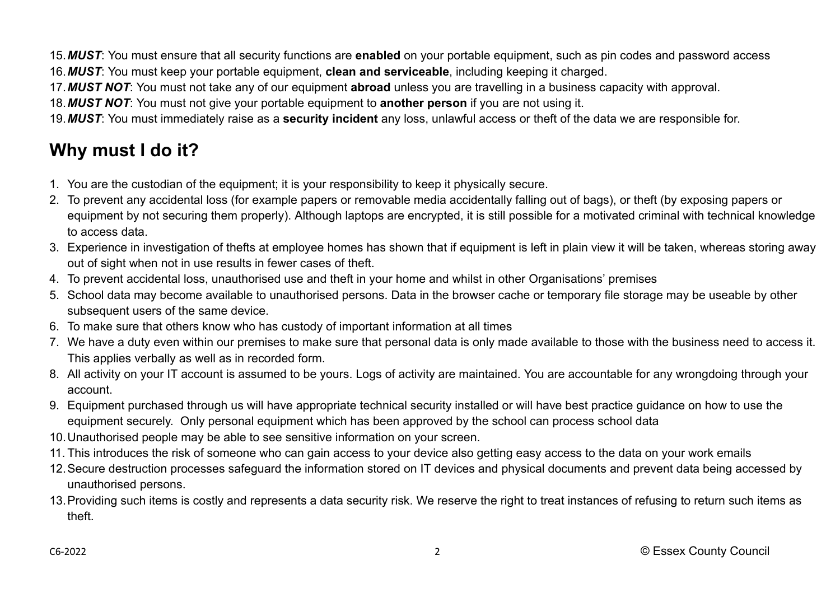15.*MUST*: You must ensure that all security functions are **enabled** on your portable equipment, such as pin codes and password access 16.*MUST*: You must keep your portable equipment, **clean and serviceable**, including keeping it charged.

17.*MUST NOT*: You must not take any of our equipment **abroad** unless you are travelling in a business capacity with approval.

18.*MUST NOT*: You must not give your portable equipment to **another person** if you are not using it.

19.*MUST*: You must immediately raise as a **security incident** any loss, unlawful access or theft of the data we are responsible for.

## **Why must I do it?**

- 1. You are the custodian of the equipment; it is your responsibility to keep it physically secure.
- 2. To prevent any accidental loss (for example papers or removable media accidentally falling out of bags), or theft (by exposing papers or equipment by not securing them properly). Although laptops are encrypted, it is still possible for a motivated criminal with technical knowledge to access data.
- 3. Experience in investigation of thefts at employee homes has shown that if equipment is left in plain view it will be taken, whereas storing away out of sight when not in use results in fewer cases of theft.
- 4. To prevent accidental loss, unauthorised use and theft in your home and whilst in other Organisations' premises
- 5. School data may become available to unauthorised persons. Data in the browser cache or temporary file storage may be useable by other subsequent users of the same device.
- 6. To make sure that others know who has custody of important information at all times
- 7. We have a duty even within our premises to make sure that personal data is only made available to those with the business need to access it. This applies verbally as well as in recorded form.
- 8. All activity on your IT account is assumed to be yours. Logs of activity are maintained. You are accountable for any wrongdoing through your account.
- 9. Equipment purchased through us will have appropriate technical security installed or will have best practice guidance on how to use the equipment securely. Only personal equipment which has been approved by the school can process school data
- 10.Unauthorised people may be able to see sensitive information on your screen.
- 11. This introduces the risk of someone who can gain access to your device also getting easy access to the data on your work emails
- 12.Secure destruction processes safeguard the information stored on IT devices and physical documents and prevent data being accessed by unauthorised persons.
- 13.Providing such items is costly and represents a data security risk. We reserve the right to treat instances of refusing to return such items as theft.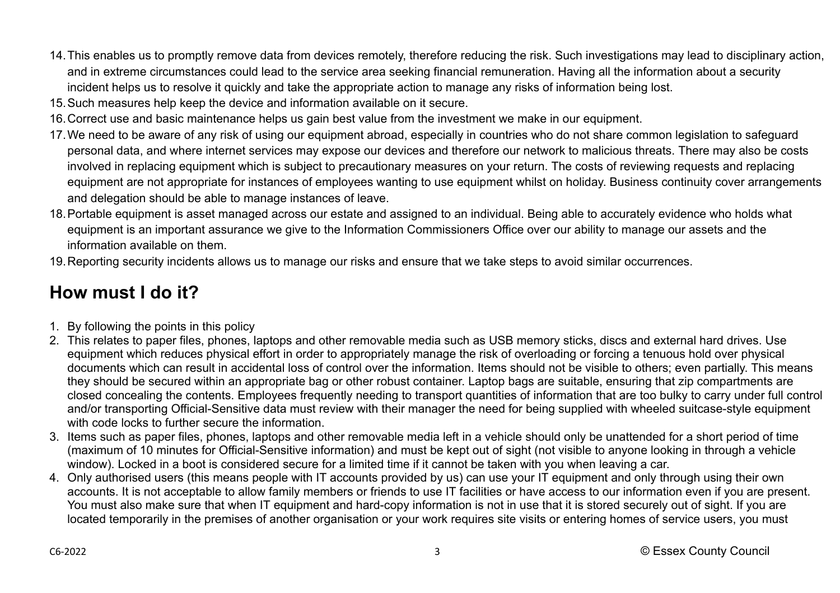- 14.This enables us to promptly remove data from devices remotely, therefore reducing the risk. Such investigations may lead to disciplinary action, and in extreme circumstances could lead to the service area seeking financial remuneration. Having all the information about a security incident helps us to resolve it quickly and take the appropriate action to manage any risks of information being lost.
- 15.Such measures help keep the device and information available on it secure.
- 16.Correct use and basic maintenance helps us gain best value from the investment we make in our equipment.
- 17.We need to be aware of any risk of using our equipment abroad, especially in countries who do not share common legislation to safeguard personal data, and where internet services may expose our devices and therefore our network to malicious threats. There may also be costs involved in replacing equipment which is subject to precautionary measures on your return. The costs of reviewing requests and replacing equipment are not appropriate for instances of employees wanting to use equipment whilst on holiday. Business continuity cover arrangements and delegation should be able to manage instances of leave.
- 18.Portable equipment is asset managed across our estate and assigned to an individual. Being able to accurately evidence who holds what equipment is an important assurance we give to the Information Commissioners Office over our ability to manage our assets and the information available on them.
- 19.Reporting security incidents allows us to manage our risks and ensure that we take steps to avoid similar occurrences.

## **How must I do it?**

- 1. By following the points in this policy
- 2. This relates to paper files, phones, laptops and other removable media such as USB memory sticks, discs and external hard drives. Use equipment which reduces physical effort in order to appropriately manage the risk of overloading or forcing a tenuous hold over physical documents which can result in accidental loss of control over the information. Items should not be visible to others; even partially. This means they should be secured within an appropriate bag or other robust container. Laptop bags are suitable, ensuring that zip compartments are closed concealing the contents. Employees frequently needing to transport quantities of information that are too bulky to carry under full control and/or transporting Official-Sensitive data must review with their manager the need for being supplied with wheeled suitcase-style equipment with code locks to further secure the information.
- 3. Items such as paper files, phones, laptops and other removable media left in a vehicle should only be unattended for a short period of time (maximum of 10 minutes for Official-Sensitive information) and must be kept out of sight (not visible to anyone looking in through a vehicle window). Locked in a boot is considered secure for a limited time if it cannot be taken with you when leaving a car.
- 4. Only authorised users (this means people with IT accounts provided by us) can use your IT equipment and only through using their own accounts. It is not acceptable to allow family members or friends to use IT facilities or have access to our information even if you are present. You must also make sure that when IT equipment and hard-copy information is not in use that it is stored securely out of sight. If you are located temporarily in the premises of another organisation or your work requires site visits or entering homes of service users, you must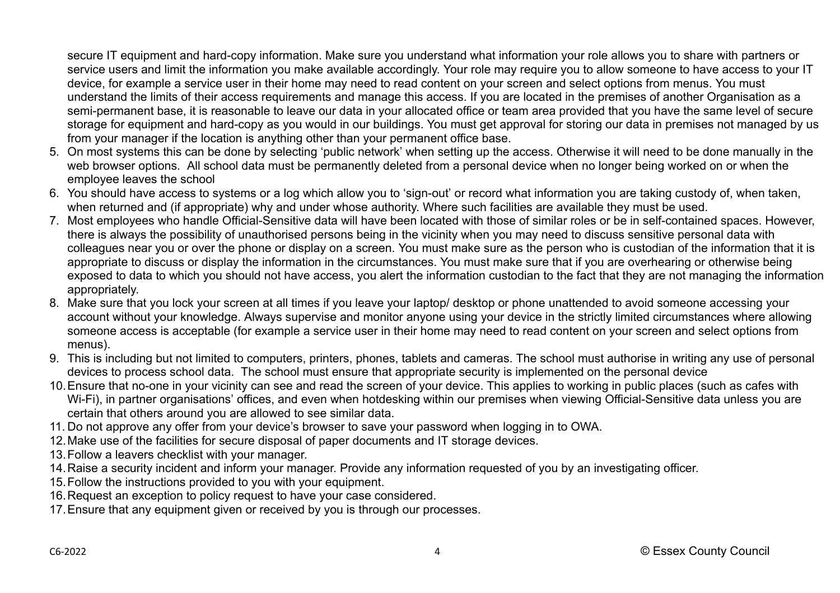secure IT equipment and hard-copy information. Make sure you understand what information your role allows you to share with partners or service users and limit the information you make available accordingly. Your role may require you to allow someone to have access to your IT device, for example a service user in their home may need to read content on your screen and select options from menus. You must understand the limits of their access requirements and manage this access. If you are located in the premises of another Organisation as a semi-permanent base, it is reasonable to leave our data in your allocated office or team area provided that you have the same level of secure storage for equipment and hard-copy as you would in our buildings. You must get approval for storing our data in premises not managed by us from your manager if the location is anything other than your permanent office base.

- 5. On most systems this can be done by selecting 'public network' when setting up the access. Otherwise it will need to be done manually in the web browser options. All school data must be permanently deleted from a personal device when no longer being worked on or when the employee leaves the school
- 6. You should have access to systems or a log which allow you to 'sign-out' or record what information you are taking custody of, when taken, when returned and (if appropriate) why and under whose authority. Where such facilities are available they must be used.
- 7. Most employees who handle Official-Sensitive data will have been located with those of similar roles or be in self-contained spaces. However, there is always the possibility of unauthorised persons being in the vicinity when you may need to discuss sensitive personal data with colleagues near you or over the phone or display on a screen. You must make sure as the person who is custodian of the information that it is appropriate to discuss or display the information in the circumstances. You must make sure that if you are overhearing or otherwise being exposed to data to which you should not have access, you alert the information custodian to the fact that they are not managing the information appropriately.
- 8. Make sure that you lock your screen at all times if you leave your laptop/ desktop or phone unattended to avoid someone accessing your account without your knowledge. Always supervise and monitor anyone using your device in the strictly limited circumstances where allowing someone access is acceptable (for example a service user in their home may need to read content on your screen and select options from menus).
- 9. This is including but not limited to computers, printers, phones, tablets and cameras. The school must authorise in writing any use of personal devices to process school data. The school must ensure that appropriate security is implemented on the personal device
- 10.Ensure that no-one in your vicinity can see and read the screen of your device. This applies to working in public places (such as cafes with Wi-Fi), in partner organisations' offices, and even when hotdesking within our premises when viewing Official-Sensitive data unless you are certain that others around you are allowed to see similar data.
- 11. Do not approve any offer from your device's browser to save your password when logging in to OWA.
- 12.Make use of the facilities for secure disposal of paper documents and IT storage devices.
- 13.Follow a leavers checklist with your manager.
- 14.Raise a security incident and inform your manager. Provide any information requested of you by an investigating officer.
- 15.Follow the instructions provided to you with your equipment.
- 16.Request an exception to policy request to have your case considered.
- 17.Ensure that any equipment given or received by you is through our processes.